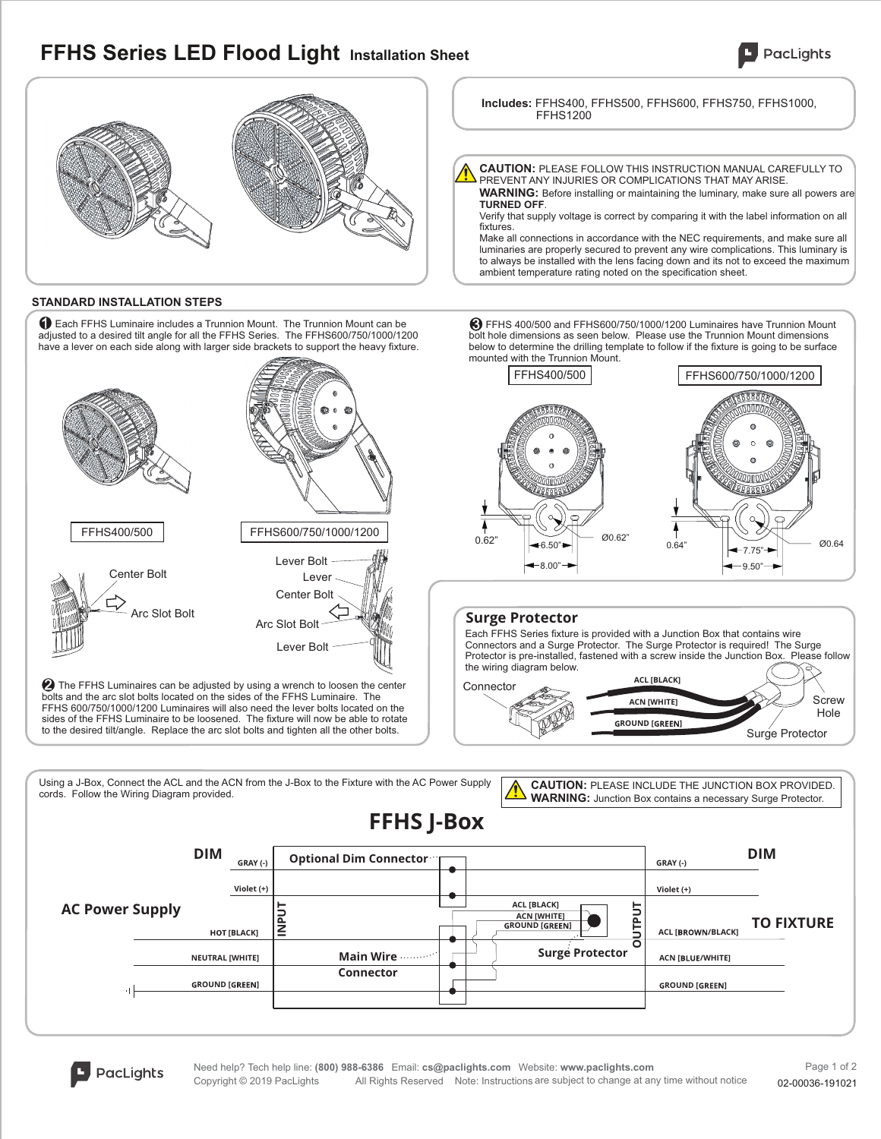## **FFHS Series LED Flood Light Installation Sheet**





### **STANDARD INSTALLATION STEPS**

Each FFHS Luminaire includes a Trunnion Mount. The Trunnion Mount can be adjusted to a desired tilt angle for all the FFHS Series. The FFHS600/750/1000/1200 1 have a lever on each side along with larger side brackets to support the heavy fixture.



 $\boldsymbol{2}$  The FFHS Luminaires can be adjusted by using a wrench to loosen the center bolts and the arc slot bolts located on the sides of the FFHS Luminaire. The FFHS 600/750/1000/1200 Luminaires will also need the lever bolts located on the sides of the FFHS Luminaire to be loosened. The fixture will now be able to rotate to the desired tilt/angle. Replace the arc slot bolts and tighten all the other bolts.

Make all connections in accordance with the NEC requirements, and make sure all luminaries are properly secured to prevent any wire complications. This luminary is to always be installed with the lens facing down and its not to exceed the maximum ambient temperature rating noted on the specification sheet.

**CAUTION:** PLEASE FOLLOW THIS INSTRUCTION MANUAL CAREFULLY TO

**Includes:** FFHS400, FFHS500, FFHS600, FFHS750, FFHS1000,

**WARNING:** Before installing or maintaining the luminary, make sure all powers are

Verify that supply voltage is correct by comparing it with the label information on all

PREVENT ANY INJURIES OR COMPLICATIONS THAT MAY ARISE.

 $\bigcirc$  FFHS 400/500 and FFHS600/750/1000/1200 Luminaires have Trunnion Mount bolt hole dimensions as seen below. Please use the Trunnion Mount dimensions below to determine the drilling template to follow if the fixture is going to be surface mounted with the Trunnion Mount.



**TURNED OFF**.

FFHS1200

fixtures.

**SURFO**<br>Each FFHS Series fixture is provided with a Junction Box that contains wire Connectors and a Surge Protector. The Surge Protector is required! The Surge Protector is pre-installed, fastened with a screw inside the Junction Box. Please follow the wiring diagram below.



Using a J-Box, Connect the ACL and the ACN from the J-Box to the Fixture with the AC Power Supply cords. Follow the Wiring Diagram provided.

**CAUTION:** PLEASE INCLUDE THE JUNCTION BOX PROVIDED. **WARNING:** Junction Box contains a necessary Surge Protector.



**PacLights**